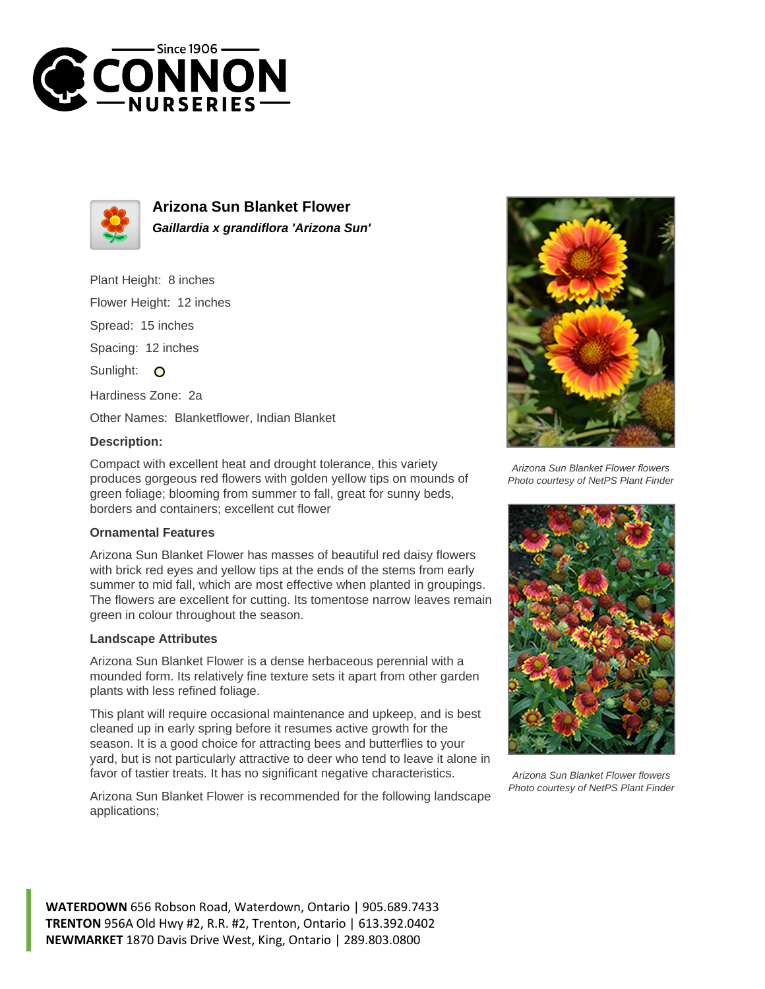



**Arizona Sun Blanket Flower Gaillardia x grandiflora 'Arizona Sun'**

Plant Height: 8 inches

Flower Height: 12 inches

Spread: 15 inches

Spacing: 12 inches

Sunlight: O

Hardiness Zone: 2a

Other Names: Blanketflower, Indian Blanket

## **Description:**

Compact with excellent heat and drought tolerance, this variety produces gorgeous red flowers with golden yellow tips on mounds of green foliage; blooming from summer to fall, great for sunny beds, borders and containers; excellent cut flower

## **Ornamental Features**

Arizona Sun Blanket Flower has masses of beautiful red daisy flowers with brick red eyes and yellow tips at the ends of the stems from early summer to mid fall, which are most effective when planted in groupings. The flowers are excellent for cutting. Its tomentose narrow leaves remain green in colour throughout the season.

## **Landscape Attributes**

Arizona Sun Blanket Flower is a dense herbaceous perennial with a mounded form. Its relatively fine texture sets it apart from other garden plants with less refined foliage.

This plant will require occasional maintenance and upkeep, and is best cleaned up in early spring before it resumes active growth for the season. It is a good choice for attracting bees and butterflies to your yard, but is not particularly attractive to deer who tend to leave it alone in favor of tastier treats. It has no significant negative characteristics.

Arizona Sun Blanket Flower is recommended for the following landscape applications;



Arizona Sun Blanket Flower flowers Photo courtesy of NetPS Plant Finder



Arizona Sun Blanket Flower flowers Photo courtesy of NetPS Plant Finder

**WATERDOWN** 656 Robson Road, Waterdown, Ontario | 905.689.7433 **TRENTON** 956A Old Hwy #2, R.R. #2, Trenton, Ontario | 613.392.0402 **NEWMARKET** 1870 Davis Drive West, King, Ontario | 289.803.0800